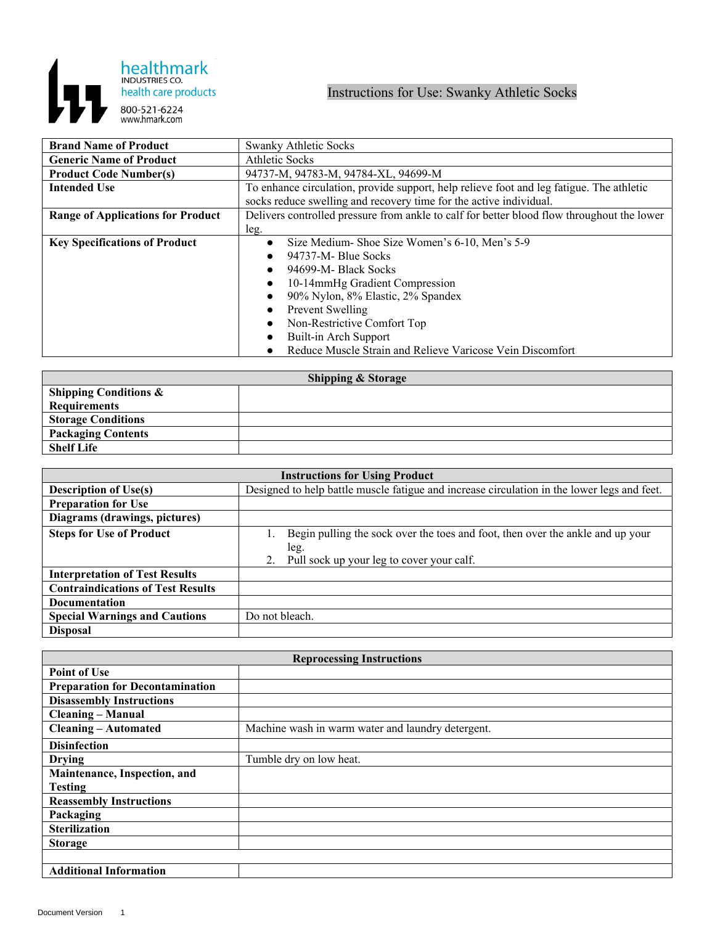

## Instructions for Use: Swanky Athletic Socks

| <b>Brand Name of Product</b>             | <b>Swanky Athletic Socks</b>                                                               |
|------------------------------------------|--------------------------------------------------------------------------------------------|
| <b>Generic Name of Product</b>           | <b>Athletic Socks</b>                                                                      |
| <b>Product Code Number(s)</b>            | 94737-M, 94783-M, 94784-XL, 94699-M                                                        |
| <b>Intended Use</b>                      | To enhance circulation, provide support, help relieve foot and leg fatigue. The athletic   |
|                                          | socks reduce swelling and recovery time for the active individual.                         |
| <b>Range of Applications for Product</b> | Delivers controlled pressure from ankle to calf for better blood flow throughout the lower |
|                                          | leg.                                                                                       |
| <b>Key Specifications of Product</b>     | Size Medium-Shoe Size Women's 6-10, Men's 5-9<br>$\bullet$                                 |
|                                          | 94737-M- Blue Socks                                                                        |
|                                          | 94699-M- Black Socks                                                                       |
|                                          | 10-14mmHg Gradient Compression                                                             |
|                                          | 90% Nylon, 8% Elastic, 2% Spandex                                                          |
|                                          | Prevent Swelling                                                                           |
|                                          | Non-Restrictive Comfort Top                                                                |
|                                          | Built-in Arch Support                                                                      |
|                                          | Reduce Muscle Strain and Relieve Varicose Vein Discomfort                                  |

| <b>Shipping &amp; Storage</b>    |  |  |
|----------------------------------|--|--|
| <b>Shipping Conditions &amp;</b> |  |  |
| Requirements                     |  |  |
| <b>Storage Conditions</b>        |  |  |
| <b>Packaging Contents</b>        |  |  |
| <b>Shelf Life</b>                |  |  |

| <b>Instructions for Using Product</b>    |                                                                                                                                           |  |
|------------------------------------------|-------------------------------------------------------------------------------------------------------------------------------------------|--|
| <b>Description of Use(s)</b>             | Designed to help battle muscle fatigue and increase circulation in the lower legs and feet.                                               |  |
| <b>Preparation for Use</b>               |                                                                                                                                           |  |
| Diagrams (drawings, pictures)            |                                                                                                                                           |  |
| <b>Steps for Use of Product</b>          | Begin pulling the sock over the toes and foot, then over the ankle and up your<br>leg.<br>Pull sock up your leg to cover your calf.<br>2. |  |
| <b>Interpretation of Test Results</b>    |                                                                                                                                           |  |
| <b>Contraindications of Test Results</b> |                                                                                                                                           |  |
| <b>Documentation</b>                     |                                                                                                                                           |  |
| <b>Special Warnings and Cautions</b>     | Do not bleach.                                                                                                                            |  |
| <b>Disposal</b>                          |                                                                                                                                           |  |

| <b>Reprocessing Instructions</b>       |                                                   |  |
|----------------------------------------|---------------------------------------------------|--|
| <b>Point of Use</b>                    |                                                   |  |
| <b>Preparation for Decontamination</b> |                                                   |  |
| <b>Disassembly Instructions</b>        |                                                   |  |
| <b>Cleaning – Manual</b>               |                                                   |  |
| <b>Cleaning - Automated</b>            | Machine wash in warm water and laundry detergent. |  |
| <b>Disinfection</b>                    |                                                   |  |
| <b>Drying</b>                          | Tumble dry on low heat.                           |  |
| Maintenance, Inspection, and           |                                                   |  |
| <b>Testing</b>                         |                                                   |  |
| <b>Reassembly Instructions</b>         |                                                   |  |
| Packaging                              |                                                   |  |
| <b>Sterilization</b>                   |                                                   |  |
| <b>Storage</b>                         |                                                   |  |
|                                        |                                                   |  |
| <b>Additional Information</b>          |                                                   |  |